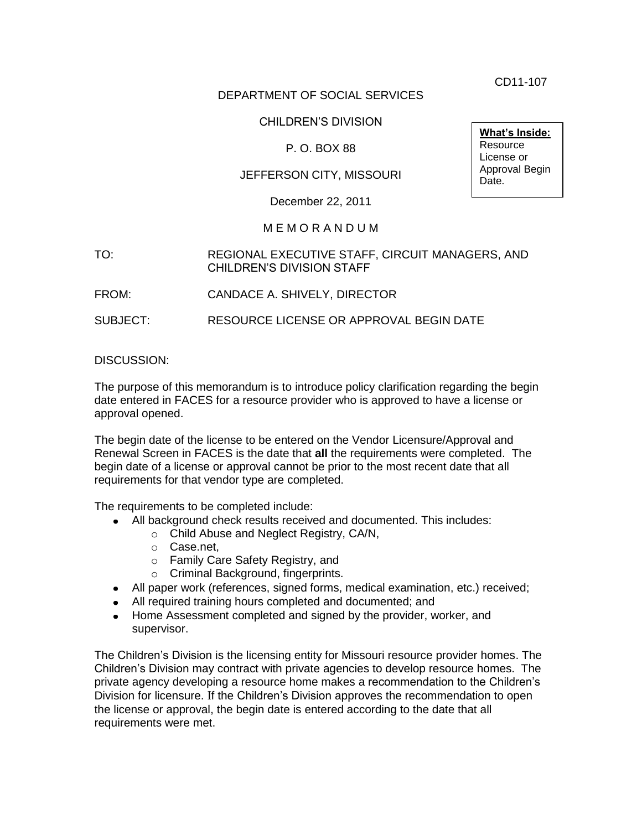CD11-107

## DEPARTMENT OF SOCIAL SERVICES

## CHILDREN'S DIVISION

# P. O. BOX 88

# JEFFERSON CITY, MISSOURI

December 22, 2011

#### M E M O R A N D U M

## TO: REGIONAL EXECUTIVE STAFF, CIRCUIT MANAGERS, AND CHILDREN'S DIVISION STAFF

FROM: CANDACE A. SHIVELY, DIRECTOR

SUBJECT: RESOURCE LICENSE OR APPROVAL BEGIN DATE

#### DISCUSSION:

The purpose of this memorandum is to introduce policy clarification regarding the begin date entered in FACES for a resource provider who is approved to have a license or approval opened.

The begin date of the license to be entered on the Vendor Licensure/Approval and Renewal Screen in FACES is the date that **all** the requirements were completed. The begin date of a license or approval cannot be prior to the most recent date that all requirements for that vendor type are completed.

The requirements to be completed include:

- All background check results received and documented. This includes:
	- o Child Abuse and Neglect Registry, CA/N,
	- o Case.net,
	- o Family Care Safety Registry, and
	- o Criminal Background, fingerprints.
- All paper work (references, signed forms, medical examination, etc.) received;
- All required training hours completed and documented; and
- Home Assessment completed and signed by the provider, worker, and supervisor.

The Children's Division is the licensing entity for Missouri resource provider homes. The Children's Division may contract with private agencies to develop resource homes. The private agency developing a resource home makes a recommendation to the Children's Division for licensure. If the Children's Division approves the recommendation to open the license or approval, the begin date is entered according to the date that all requirements were met.

**What's Inside: Resource** License or Approval Begin Date.